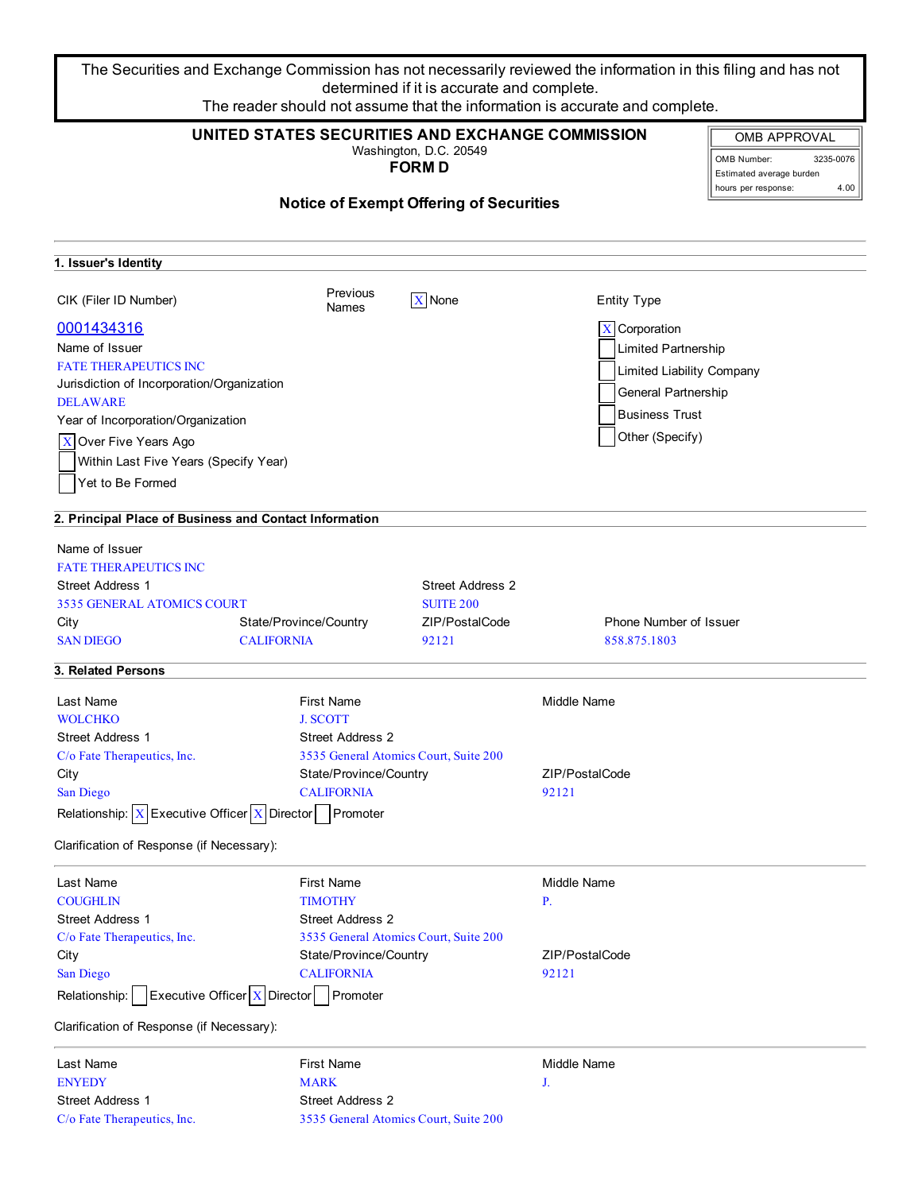The Securities and Exchange Commission has not necessarily reviewed the information in this filing and has not determined if it is accurate and complete. The reader should not assume that the information is accurate and complete.

| UNITED STATES SECURITIES AND EXCHANGE COMMISSION<br>Washington, D.C. 20549<br><b>FORMD</b><br><b>Notice of Exempt Offering of Securities</b> |                                                                     |                                       |                                  | <b>OMB APPROVAL</b><br>OMB Number:<br>3235-0076<br>Estimated average burden<br>4.00<br>hours per response: |
|----------------------------------------------------------------------------------------------------------------------------------------------|---------------------------------------------------------------------|---------------------------------------|----------------------------------|------------------------------------------------------------------------------------------------------------|
|                                                                                                                                              |                                                                     |                                       |                                  |                                                                                                            |
| 1. Issuer's Identity                                                                                                                         |                                                                     |                                       |                                  |                                                                                                            |
| CIK (Filer ID Number)                                                                                                                        | Previous<br>Names                                                   | $X$ None                              | <b>Entity Type</b>               |                                                                                                            |
| 0001434316                                                                                                                                   |                                                                     |                                       | $X$ Corporation                  |                                                                                                            |
| Name of Issuer                                                                                                                               |                                                                     |                                       | Limited Partnership              |                                                                                                            |
| <b>FATE THERAPEUTICS INC</b>                                                                                                                 |                                                                     |                                       | <b>Limited Liability Company</b> |                                                                                                            |
| Jurisdiction of Incorporation/Organization                                                                                                   |                                                                     |                                       | General Partnership              |                                                                                                            |
| <b>DELAWARE</b>                                                                                                                              |                                                                     |                                       |                                  |                                                                                                            |
| Year of Incorporation/Organization                                                                                                           |                                                                     |                                       | <b>Business Trust</b>            |                                                                                                            |
| X Over Five Years Ago                                                                                                                        |                                                                     |                                       | Other (Specify)                  |                                                                                                            |
| Within Last Five Years (Specify Year)                                                                                                        |                                                                     |                                       |                                  |                                                                                                            |
| Yet to Be Formed                                                                                                                             |                                                                     |                                       |                                  |                                                                                                            |
| 2. Principal Place of Business and Contact Information                                                                                       |                                                                     |                                       |                                  |                                                                                                            |
| Name of Issuer                                                                                                                               |                                                                     |                                       |                                  |                                                                                                            |
| <b>FATE THERAPEUTICS INC</b>                                                                                                                 |                                                                     |                                       |                                  |                                                                                                            |
| <b>Street Address 1</b>                                                                                                                      |                                                                     | <b>Street Address 2</b>               |                                  |                                                                                                            |
| <b>3535 GENERAL ATOMICS COURT</b>                                                                                                            |                                                                     | <b>SUITE 200</b>                      |                                  |                                                                                                            |
| City                                                                                                                                         | State/Province/Country                                              | ZIP/PostalCode                        | <b>Phone Number of Issuer</b>    |                                                                                                            |
| <b>SAN DIEGO</b>                                                                                                                             | <b>CALIFORNIA</b>                                                   | 92121                                 | 858.875.1803                     |                                                                                                            |
| 3. Related Persons                                                                                                                           |                                                                     |                                       |                                  |                                                                                                            |
| Last Name                                                                                                                                    | <b>First Name</b>                                                   |                                       | Middle Name                      |                                                                                                            |
| <b>WOLCHKO</b>                                                                                                                               | <b>J. SCOTT</b>                                                     |                                       |                                  |                                                                                                            |
| <b>Street Address 1</b>                                                                                                                      | <b>Street Address 2</b>                                             |                                       |                                  |                                                                                                            |
| C/o Fate Therapeutics, Inc.                                                                                                                  |                                                                     | 3535 General Atomics Court, Suite 200 |                                  |                                                                                                            |
| City                                                                                                                                         | State/Province/Country                                              |                                       | ZIP/PostalCode                   |                                                                                                            |
| San Diego                                                                                                                                    | <b>CALIFORNIA</b>                                                   |                                       | 92121                            |                                                                                                            |
| Relationship: $X$ Executive Officer $X$ Director                                                                                             | Promoter                                                            |                                       |                                  |                                                                                                            |
| Clarification of Response (if Necessary):                                                                                                    |                                                                     |                                       |                                  |                                                                                                            |
| Last Name                                                                                                                                    | <b>First Name</b>                                                   |                                       | Middle Name                      |                                                                                                            |
| <b>COUGHLIN</b>                                                                                                                              | <b>TIMOTHY</b>                                                      |                                       | Р.                               |                                                                                                            |
| <b>Street Address 1</b>                                                                                                                      | <b>Street Address 2</b>                                             |                                       |                                  |                                                                                                            |
| C/o Fate Therapeutics, Inc.                                                                                                                  |                                                                     | 3535 General Atomics Court, Suite 200 |                                  |                                                                                                            |
| City                                                                                                                                         | State/Province/Country                                              |                                       | ZIP/PostalCode                   |                                                                                                            |
| San Diego                                                                                                                                    | <b>CALIFORNIA</b>                                                   |                                       | 92121                            |                                                                                                            |
| Relationship:                                                                                                                                | $\vert$ Executive Officer $\vert x \vert$ Director $\vert$ Promoter |                                       |                                  |                                                                                                            |
| Clarification of Response (if Necessary):                                                                                                    |                                                                     |                                       |                                  |                                                                                                            |
| Last Name                                                                                                                                    | <b>First Name</b>                                                   |                                       | Middle Name                      |                                                                                                            |
| <b>ENYEDY</b>                                                                                                                                | <b>MARK</b>                                                         |                                       | J.                               |                                                                                                            |
| Street Address 1                                                                                                                             | <b>Street Address 2</b>                                             |                                       |                                  |                                                                                                            |
| C/o Fate Therapeutics, Inc.                                                                                                                  |                                                                     | 3535 General Atomics Court, Suite 200 |                                  |                                                                                                            |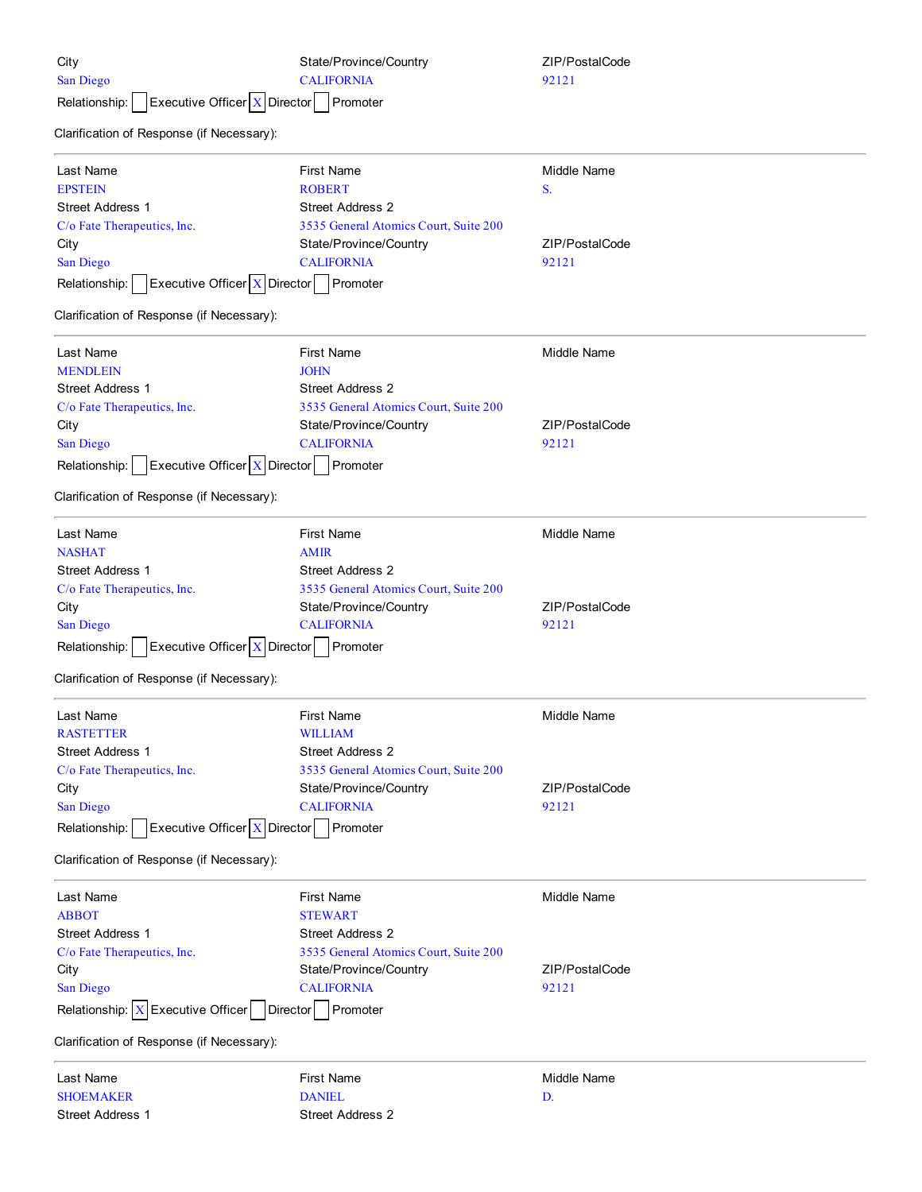| City<br>State/Province/Country<br>San Diego<br><b>CALIFORNIA</b><br>Executive Officer $X$ Director Promoter<br>Relationship:<br>Clarification of Response (if Necessary): |                                       | ZIP/PostalCode<br>92121 |
|---------------------------------------------------------------------------------------------------------------------------------------------------------------------------|---------------------------------------|-------------------------|
|                                                                                                                                                                           |                                       |                         |
| Last Name                                                                                                                                                                 | <b>First Name</b>                     | Middle Name             |
| <b>EPSTEIN</b>                                                                                                                                                            | <b>ROBERT</b>                         | S.                      |
| <b>Street Address 1</b>                                                                                                                                                   | <b>Street Address 2</b>               |                         |
| C/o Fate Therapeutics, Inc.                                                                                                                                               | 3535 General Atomics Court, Suite 200 |                         |
| City                                                                                                                                                                      | State/Province/Country                | ZIP/PostalCode          |
| San Diego                                                                                                                                                                 | <b>CALIFORNIA</b>                     | 92121                   |
| Executive Officer   X   Director<br>Relationship:                                                                                                                         | Promoter                              |                         |
| Clarification of Response (if Necessary):                                                                                                                                 |                                       |                         |
| Last Name                                                                                                                                                                 | <b>First Name</b>                     | <b>Middle Name</b>      |
| <b>MENDLEIN</b>                                                                                                                                                           | <b>JOHN</b>                           |                         |
| <b>Street Address 1</b>                                                                                                                                                   | <b>Street Address 2</b>               |                         |
| C/o Fate Therapeutics, Inc.                                                                                                                                               | 3535 General Atomics Court, Suite 200 |                         |
| City                                                                                                                                                                      | State/Province/Country                | ZIP/PostalCode          |
| San Diego                                                                                                                                                                 | <b>CALIFORNIA</b>                     | 92121                   |
| Executive Officer $X$ Director Promoter<br>Relationship:                                                                                                                  |                                       |                         |
| Clarification of Response (if Necessary):                                                                                                                                 |                                       |                         |
| Last Name                                                                                                                                                                 | <b>First Name</b>                     | Middle Name             |
| <b>NASHAT</b>                                                                                                                                                             | AMIR                                  |                         |
| <b>Street Address 1</b>                                                                                                                                                   | <b>Street Address 2</b>               |                         |
| C/o Fate Therapeutics, Inc.                                                                                                                                               | 3535 General Atomics Court, Suite 200 |                         |
| City                                                                                                                                                                      | State/Province/Country                | ZIP/PostalCode          |
| San Diego                                                                                                                                                                 | <b>CALIFORNIA</b>                     | 92121                   |
| Executive Officer $X$ Director Promoter<br>Relationship:                                                                                                                  |                                       |                         |
| Clarification of Response (if Necessary):                                                                                                                                 |                                       |                         |
|                                                                                                                                                                           |                                       |                         |
| Last Name                                                                                                                                                                 | <b>First Name</b>                     | Middle Name             |
| <b>RASTETTER</b>                                                                                                                                                          | <b>WILLIAM</b>                        |                         |
| <b>Street Address 1</b>                                                                                                                                                   | <b>Street Address 2</b>               |                         |
| C/o Fate Therapeutics, Inc.                                                                                                                                               | 3535 General Atomics Court, Suite 200 |                         |
| City                                                                                                                                                                      | State/Province/Country                | ZIP/PostalCode          |
| San Diego                                                                                                                                                                 | <b>CALIFORNIA</b>                     | 92121                   |
| $\vert$ Executive Officer $\vert X \vert$ Director $\vert$ Promoter<br>Relationship:                                                                                      |                                       |                         |
| Clarification of Response (if Necessary):                                                                                                                                 |                                       |                         |
| Last Name                                                                                                                                                                 | <b>First Name</b>                     | Middle Name             |
| <b>ABBOT</b>                                                                                                                                                              | <b>STEWART</b>                        |                         |
| <b>Street Address 1</b>                                                                                                                                                   | <b>Street Address 2</b>               |                         |
| C/o Fate Therapeutics, Inc.                                                                                                                                               | 3535 General Atomics Court, Suite 200 |                         |
| City                                                                                                                                                                      | State/Province/Country                | ZIP/PostalCode          |
| San Diego                                                                                                                                                                 | <b>CALIFORNIA</b>                     | 92121                   |
| Relationship: $X$ Executive Officer<br>Director                                                                                                                           | Promoter                              |                         |
| Clarification of Response (if Necessary):                                                                                                                                 |                                       |                         |
| Last Name                                                                                                                                                                 | <b>First Name</b>                     | Middle Name             |
| <b>SHOEMAKER</b>                                                                                                                                                          | <b>DANIEL</b>                         | D.                      |
| <b>Street Address 1</b>                                                                                                                                                   | <b>Street Address 2</b>               |                         |
|                                                                                                                                                                           |                                       |                         |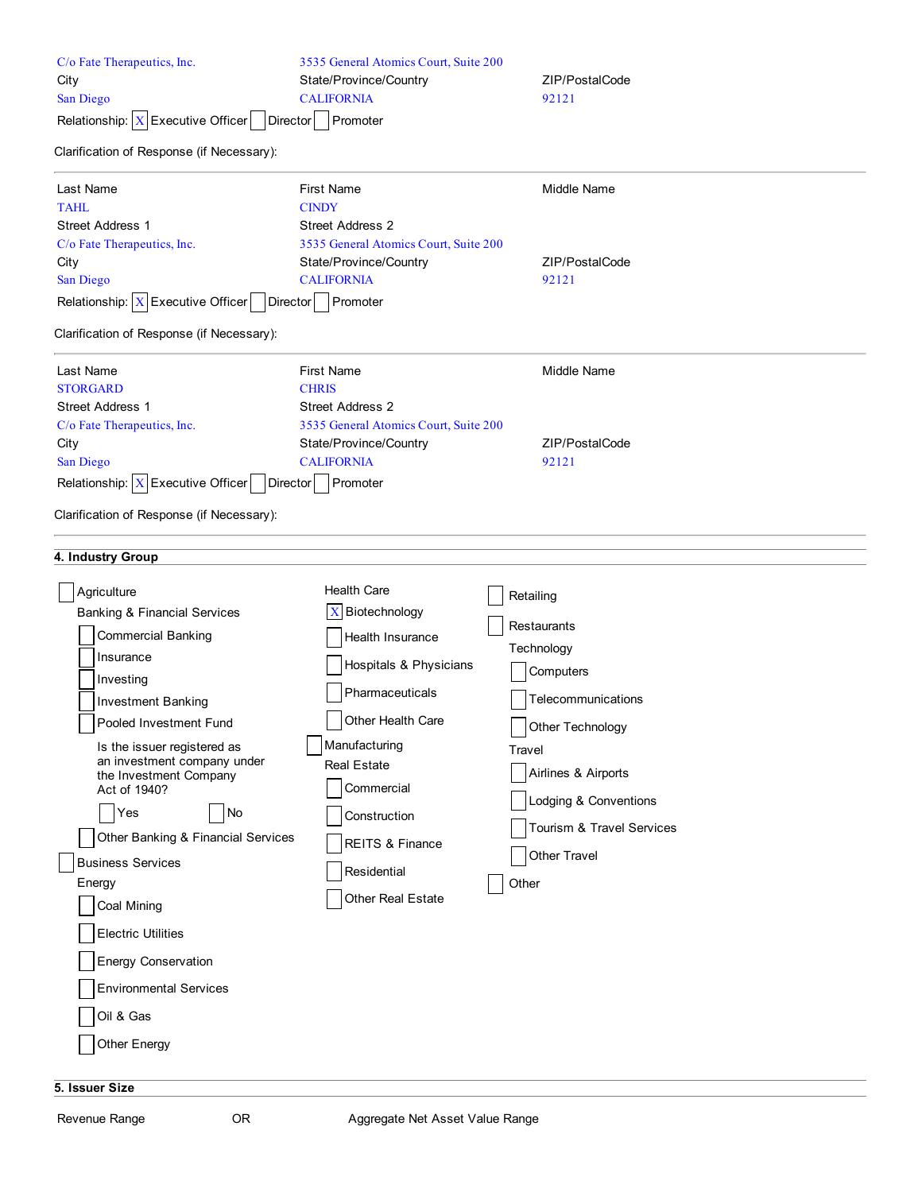| C/o Fate Therapeutics, Inc.<br>City<br>San Diego<br>Relationship: $X$ Executive Officer<br><b>Director</b>                                                                                                                                                                                                                                                                                                                                                                                                    | 3535 General Atomics Court, Suite 200<br>State/Province/Country<br><b>CALIFORNIA</b><br>Promoter                                                                                                                                                                   | ZIP/PostalCode<br>92121                                                                                                                                                                                       |
|---------------------------------------------------------------------------------------------------------------------------------------------------------------------------------------------------------------------------------------------------------------------------------------------------------------------------------------------------------------------------------------------------------------------------------------------------------------------------------------------------------------|--------------------------------------------------------------------------------------------------------------------------------------------------------------------------------------------------------------------------------------------------------------------|---------------------------------------------------------------------------------------------------------------------------------------------------------------------------------------------------------------|
| Clarification of Response (if Necessary):                                                                                                                                                                                                                                                                                                                                                                                                                                                                     |                                                                                                                                                                                                                                                                    |                                                                                                                                                                                                               |
| Last Name<br><b>TAHL</b><br><b>Street Address 1</b><br>C/o Fate Therapeutics, Inc.<br>City<br>San Diego<br>Relationship: $X$ Executive Officer   Director<br>Clarification of Response (if Necessary):                                                                                                                                                                                                                                                                                                        | <b>First Name</b><br><b>CINDY</b><br><b>Street Address 2</b><br>3535 General Atomics Court, Suite 200<br>State/Province/Country<br><b>CALIFORNIA</b><br>Promoter                                                                                                   | Middle Name<br>ZIP/PostalCode<br>92121                                                                                                                                                                        |
| Last Name<br><b>STORGARD</b><br>Street Address 1<br>C/o Fate Therapeutics, Inc.<br>City<br>San Diego<br>Relationship: $X$ Executive Officer   Director<br>Clarification of Response (if Necessary):                                                                                                                                                                                                                                                                                                           | <b>First Name</b><br><b>CHRIS</b><br>Street Address 2<br>3535 General Atomics Court, Suite 200<br>State/Province/Country<br><b>CALIFORNIA</b><br>Promoter                                                                                                          | Middle Name<br>ZIP/PostalCode<br>92121                                                                                                                                                                        |
| 4. Industry Group                                                                                                                                                                                                                                                                                                                                                                                                                                                                                             |                                                                                                                                                                                                                                                                    |                                                                                                                                                                                                               |
| Agriculture<br><b>Banking &amp; Financial Services</b><br><b>Commercial Banking</b><br>Insurance<br>Investing<br><b>Investment Banking</b><br>Pooled Investment Fund<br>Is the issuer registered as<br>an investment company under<br>the Investment Company<br>Act of 1940?<br><b>No</b><br>Yes<br>Other Banking & Financial Services<br><b>Business Services</b><br>Energy<br>Coal Mining<br><b>Electric Utilities</b><br>Energy Conservation<br><b>Environmental Services</b><br>Oil & Gas<br>Other Energy | <b>Health Care</b><br>X Biotechnology<br>Health Insurance<br>Hospitals & Physicians<br>Pharmaceuticals<br>Other Health Care<br>Manufacturing<br><b>Real Estate</b><br>Commercial<br>Construction<br><b>REITS &amp; Finance</b><br>Residential<br>Other Real Estate | Retailing<br>Restaurants<br>Technology<br>Computers<br>Telecommunications<br>Other Technology<br>Travel<br>Airlines & Airports<br>Lodging & Conventions<br>Tourism & Travel Services<br>Other Travel<br>Other |

## **5. Issuer Size**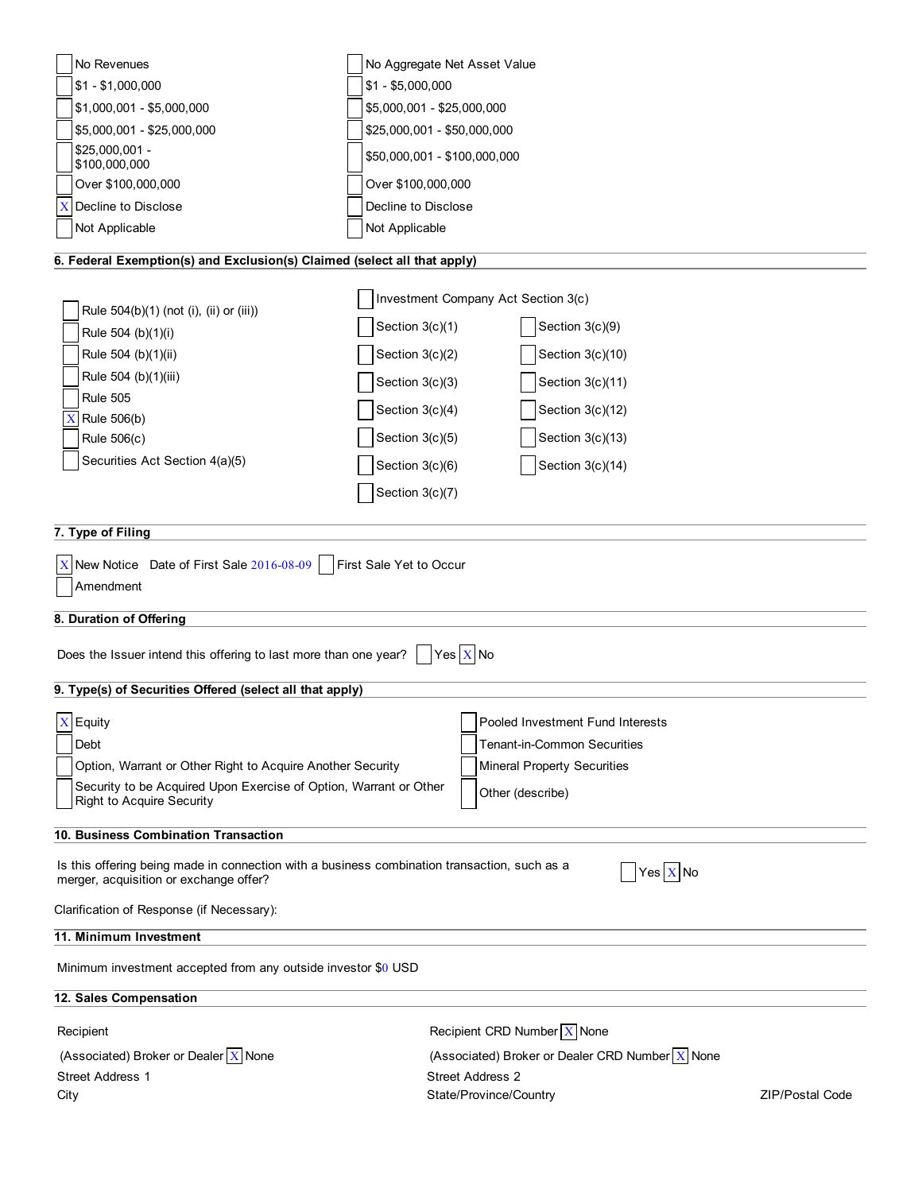| No Revenues<br>$$1 - $1,000,000$<br>\$1,000,001 - \$5,000,000<br>\$5,000,001 - \$25,000,000<br>\$25,000,001 -<br>\$100,000,000<br>Over \$100,000,000<br>Decline to Disclose<br>Not Applicable<br>6. Federal Exemption(s) and Exclusion(s) Claimed (select all that apply) | No Aggregate Net Asset Value<br>$$1 - $5,000,000$<br>\$5,000,001 - \$25,000,000<br>\$25,000,001 - \$50,000,000<br>\$50,000,001 - \$100,000,000<br>Over \$100,000,000<br>Decline to Disclose<br>Not Applicable |                        |  |  |
|---------------------------------------------------------------------------------------------------------------------------------------------------------------------------------------------------------------------------------------------------------------------------|---------------------------------------------------------------------------------------------------------------------------------------------------------------------------------------------------------------|------------------------|--|--|
|                                                                                                                                                                                                                                                                           | Investment Company Act Section 3(c)                                                                                                                                                                           |                        |  |  |
| Rule 504(b)(1) (not (i), (ii) or (iii))                                                                                                                                                                                                                                   |                                                                                                                                                                                                               |                        |  |  |
| Rule 504 (b)(1)(i)                                                                                                                                                                                                                                                        | Section 3(c)(9)<br>Section $3(c)(1)$                                                                                                                                                                          |                        |  |  |
| Rule 504 (b)(1)(ii)<br>Rule 504 (b)(1)(iii)                                                                                                                                                                                                                               | Section 3(c)(2)<br>Section 3(c)(10)                                                                                                                                                                           |                        |  |  |
| <b>Rule 505</b>                                                                                                                                                                                                                                                           | Section 3(c)(3)<br>Section 3(c)(11)                                                                                                                                                                           |                        |  |  |
| Rule 506(b)                                                                                                                                                                                                                                                               | Section 3(c)(4)<br>Section $3(c)(12)$                                                                                                                                                                         |                        |  |  |
| Rule 506(c)                                                                                                                                                                                                                                                               | Section 3(c)(5)<br>Section 3(c)(13)                                                                                                                                                                           |                        |  |  |
| Securities Act Section 4(a)(5)                                                                                                                                                                                                                                            | Section 3(c)(14)<br>Section 3(c)(6)                                                                                                                                                                           |                        |  |  |
|                                                                                                                                                                                                                                                                           | Section 3(c)(7)                                                                                                                                                                                               |                        |  |  |
| 7. Type of Filing                                                                                                                                                                                                                                                         |                                                                                                                                                                                                               |                        |  |  |
| $\overline{X}$ New Notice Date of First Sale 2016-08-09<br>First Sale Yet to Occur<br>Amendment<br>8. Duration of Offering                                                                                                                                                |                                                                                                                                                                                                               |                        |  |  |
| Does the Issuer intend this offering to last more than one year?                                                                                                                                                                                                          | Yes <b>X</b> No                                                                                                                                                                                               |                        |  |  |
| 9. Type(s) of Securities Offered (select all that apply)                                                                                                                                                                                                                  |                                                                                                                                                                                                               |                        |  |  |
| $\overline{X}$ Equity                                                                                                                                                                                                                                                     | Pooled Investment Fund Interests                                                                                                                                                                              |                        |  |  |
| Debt                                                                                                                                                                                                                                                                      | <b>Tenant-in-Common Securities</b>                                                                                                                                                                            |                        |  |  |
| Option, Warrant or Other Right to Acquire Another Security                                                                                                                                                                                                                | <b>Mineral Property Securities</b>                                                                                                                                                                            |                        |  |  |
| Security to be Acquired Upon Exercise of Option, Warrant or Other<br><b>Right to Acquire Security</b>                                                                                                                                                                     | Other (describe)                                                                                                                                                                                              |                        |  |  |
| 10. Business Combination Transaction                                                                                                                                                                                                                                      |                                                                                                                                                                                                               |                        |  |  |
| Is this offering being made in connection with a business combination transaction, such as a<br>Yes $X$ No<br>merger, acquisition or exchange offer?                                                                                                                      |                                                                                                                                                                                                               |                        |  |  |
| Clarification of Response (if Necessary):                                                                                                                                                                                                                                 |                                                                                                                                                                                                               |                        |  |  |
| 11. Minimum Investment                                                                                                                                                                                                                                                    |                                                                                                                                                                                                               |                        |  |  |
| Minimum investment accepted from any outside investor \$0 USD                                                                                                                                                                                                             |                                                                                                                                                                                                               |                        |  |  |
| 12. Sales Compensation                                                                                                                                                                                                                                                    |                                                                                                                                                                                                               |                        |  |  |
| Recipient                                                                                                                                                                                                                                                                 | Recipient CRD Number $X$ None                                                                                                                                                                                 |                        |  |  |
| (Associated) Broker or Dealer $\boxed{X}$ None                                                                                                                                                                                                                            | (Associated) Broker or Dealer CRD Number X None                                                                                                                                                               |                        |  |  |
| <b>Street Address 1</b><br>City                                                                                                                                                                                                                                           | <b>Street Address 2</b><br>State/Province/Country                                                                                                                                                             | <b>ZIP/Postal Code</b> |  |  |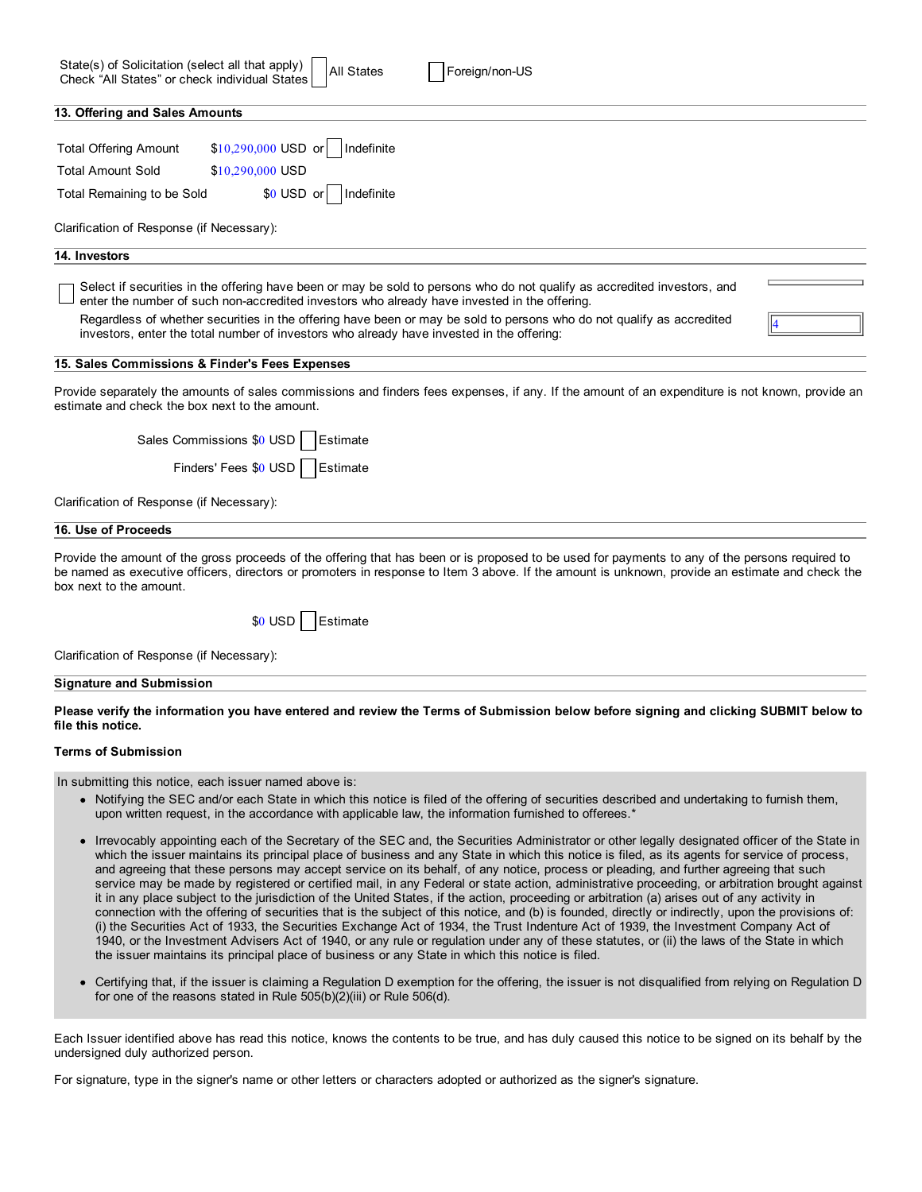| State(s) of Solicitation (select all that apply)<br><b>All States</b><br>Foreign/non-US<br>Check "All States" or check individual States                                                                                                                                                                                                                                                                                                                                                                                                                                                                                                                                                                                                                                                                                                                                                                                                                                                                                                                                                                                                                                                                                                                                                                                                                                                                                                      |
|-----------------------------------------------------------------------------------------------------------------------------------------------------------------------------------------------------------------------------------------------------------------------------------------------------------------------------------------------------------------------------------------------------------------------------------------------------------------------------------------------------------------------------------------------------------------------------------------------------------------------------------------------------------------------------------------------------------------------------------------------------------------------------------------------------------------------------------------------------------------------------------------------------------------------------------------------------------------------------------------------------------------------------------------------------------------------------------------------------------------------------------------------------------------------------------------------------------------------------------------------------------------------------------------------------------------------------------------------------------------------------------------------------------------------------------------------|
| 13. Offering and Sales Amounts                                                                                                                                                                                                                                                                                                                                                                                                                                                                                                                                                                                                                                                                                                                                                                                                                                                                                                                                                                                                                                                                                                                                                                                                                                                                                                                                                                                                                |
| \$10,290,000 USD or<br><b>Total Offering Amount</b><br>Indefinite<br><b>Total Amount Sold</b><br>$$10,290,000$ USD<br>$$0$ USD or<br>Indefinite<br>Total Remaining to be Sold                                                                                                                                                                                                                                                                                                                                                                                                                                                                                                                                                                                                                                                                                                                                                                                                                                                                                                                                                                                                                                                                                                                                                                                                                                                                 |
| Clarification of Response (if Necessary):                                                                                                                                                                                                                                                                                                                                                                                                                                                                                                                                                                                                                                                                                                                                                                                                                                                                                                                                                                                                                                                                                                                                                                                                                                                                                                                                                                                                     |
| 14. Investors                                                                                                                                                                                                                                                                                                                                                                                                                                                                                                                                                                                                                                                                                                                                                                                                                                                                                                                                                                                                                                                                                                                                                                                                                                                                                                                                                                                                                                 |
| Select if securities in the offering have been or may be sold to persons who do not qualify as accredited investors, and<br>enter the number of such non-accredited investors who already have invested in the offering.<br>Regardless of whether securities in the offering have been or may be sold to persons who do not qualify as accredited<br>investors, enter the total number of investors who already have invested in the offering:                                                                                                                                                                                                                                                                                                                                                                                                                                                                                                                                                                                                                                                                                                                                                                                                                                                                                                                                                                                                |
| 15. Sales Commissions & Finder's Fees Expenses                                                                                                                                                                                                                                                                                                                                                                                                                                                                                                                                                                                                                                                                                                                                                                                                                                                                                                                                                                                                                                                                                                                                                                                                                                                                                                                                                                                                |
| Provide separately the amounts of sales commissions and finders fees expenses, if any. If the amount of an expenditure is not known, provide an<br>estimate and check the box next to the amount.                                                                                                                                                                                                                                                                                                                                                                                                                                                                                                                                                                                                                                                                                                                                                                                                                                                                                                                                                                                                                                                                                                                                                                                                                                             |
| Sales Commissions \$0 USD<br>Estimate                                                                                                                                                                                                                                                                                                                                                                                                                                                                                                                                                                                                                                                                                                                                                                                                                                                                                                                                                                                                                                                                                                                                                                                                                                                                                                                                                                                                         |
| Finders' Fees \$0 USD<br>Estimate                                                                                                                                                                                                                                                                                                                                                                                                                                                                                                                                                                                                                                                                                                                                                                                                                                                                                                                                                                                                                                                                                                                                                                                                                                                                                                                                                                                                             |
| Clarification of Response (if Necessary):                                                                                                                                                                                                                                                                                                                                                                                                                                                                                                                                                                                                                                                                                                                                                                                                                                                                                                                                                                                                                                                                                                                                                                                                                                                                                                                                                                                                     |
| 16. Use of Proceeds                                                                                                                                                                                                                                                                                                                                                                                                                                                                                                                                                                                                                                                                                                                                                                                                                                                                                                                                                                                                                                                                                                                                                                                                                                                                                                                                                                                                                           |
| Provide the amount of the gross proceeds of the offering that has been or is proposed to be used for payments to any of the persons required to<br>be named as executive officers, directors or promoters in response to Item 3 above. If the amount is unknown, provide an estimate and check the<br>box next to the amount.                                                                                                                                                                                                                                                                                                                                                                                                                                                                                                                                                                                                                                                                                                                                                                                                                                                                                                                                                                                                                                                                                                                 |
| $$0$ USD<br>Estimate                                                                                                                                                                                                                                                                                                                                                                                                                                                                                                                                                                                                                                                                                                                                                                                                                                                                                                                                                                                                                                                                                                                                                                                                                                                                                                                                                                                                                          |
| Clarification of Response (if Necessary):                                                                                                                                                                                                                                                                                                                                                                                                                                                                                                                                                                                                                                                                                                                                                                                                                                                                                                                                                                                                                                                                                                                                                                                                                                                                                                                                                                                                     |
| <b>Signature and Submission</b>                                                                                                                                                                                                                                                                                                                                                                                                                                                                                                                                                                                                                                                                                                                                                                                                                                                                                                                                                                                                                                                                                                                                                                                                                                                                                                                                                                                                               |
| Please verify the information you have entered and review the Terms of Submission below before signing and clicking SUBMIT below to<br>file this notice.                                                                                                                                                                                                                                                                                                                                                                                                                                                                                                                                                                                                                                                                                                                                                                                                                                                                                                                                                                                                                                                                                                                                                                                                                                                                                      |
| <b>Terms of Submission</b>                                                                                                                                                                                                                                                                                                                                                                                                                                                                                                                                                                                                                                                                                                                                                                                                                                                                                                                                                                                                                                                                                                                                                                                                                                                                                                                                                                                                                    |
| In submitting this notice, each issuer named above is:<br>. Notifying the SEC and/or each State in which this notice is filed of the offering of securities described and undertaking to furnish them,<br>upon written request, in the accordance with applicable law, the information furnished to offerees.*                                                                                                                                                                                                                                                                                                                                                                                                                                                                                                                                                                                                                                                                                                                                                                                                                                                                                                                                                                                                                                                                                                                                |
| Irrevocably appointing each of the Secretary of the SEC and, the Securities Administrator or other legally designated officer of the State in<br>which the issuer maintains its principal place of business and any State in which this notice is filed, as its agents for service of process,<br>and agreeing that these persons may accept service on its behalf, of any notice, process or pleading, and further agreeing that such<br>service may be made by registered or certified mail, in any Federal or state action, administrative proceeding, or arbitration brought against<br>it in any place subject to the jurisdiction of the United States, if the action, proceeding or arbitration (a) arises out of any activity in<br>connection with the offering of securities that is the subject of this notice, and (b) is founded, directly or indirectly, upon the provisions of:<br>(i) the Securities Act of 1933, the Securities Exchange Act of 1934, the Trust Indenture Act of 1939, the Investment Company Act of<br>1940, or the Investment Advisers Act of 1940, or any rule or regulation under any of these statutes, or (ii) the laws of the State in which<br>the issuer maintains its principal place of business or any State in which this notice is filed.<br>Certifying that, if the issuer is claiming a Regulation D exemption for the offering, the issuer is not disqualified from relying on Regulation D |
| for one of the reasons stated in Rule 505(b)(2)(iii) or Rule 506(d).                                                                                                                                                                                                                                                                                                                                                                                                                                                                                                                                                                                                                                                                                                                                                                                                                                                                                                                                                                                                                                                                                                                                                                                                                                                                                                                                                                          |

Each Issuer identified above has read this notice, knows the contents to be true, and has duly caused this notice to be signed on its behalf by the undersigned duly authorized person.

For signature, type in the signer's name or other letters or characters adopted or authorized as the signer's signature.